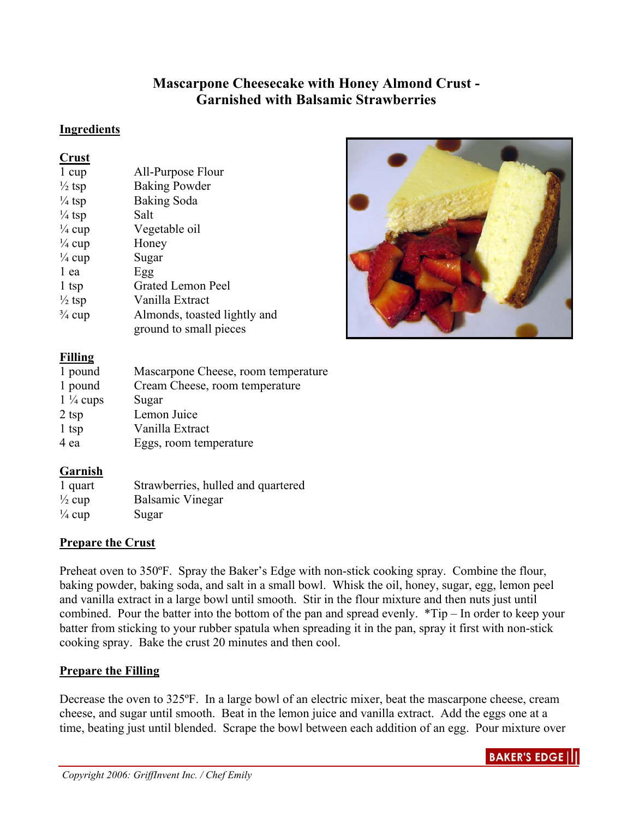# **Mascarpone Cheesecake with Honey Almond Crust - Garnished with Balsamic Strawberries**

#### **Ingredients**

#### **Crust**

| $\sim$ . we $\sim$ |                              |
|--------------------|------------------------------|
| 1 cup              | All-Purpose Flour            |
| $\frac{1}{2}$ tsp  | <b>Baking Powder</b>         |
| $\frac{1}{4}$ tsp  | Baking Soda                  |
| $\frac{1}{4}$ tsp  | Salt                         |
| $\frac{1}{4}$ cup  | Vegetable oil                |
| $\frac{1}{4}$ cup  | Honey                        |
| $\frac{1}{4}$ cup  | Sugar                        |
| 1 ea               | Egg                          |
| 1 tsp              | <b>Grated Lemon Peel</b>     |
| $\frac{1}{2}$ tsp  | Vanilla Extract              |
| $\frac{3}{4}$ cup  | Almonds, toasted lightly and |
|                    | ground to small pieces       |



# **Filling**

| 1 pound             | Mascarpone Cheese, room temperature |
|---------------------|-------------------------------------|
| 1 pound             | Cream Cheese, room temperature      |
| $1\frac{1}{4}$ cups | Sugar                               |
| $2$ tsp             | Lemon Juice                         |
| $1$ tsp             | Vanilla Extract                     |
| 4 ea                | Eggs, room temperature              |

# **Garnish**

| 1 quart           | Strawberries, hulled and quartered |
|-------------------|------------------------------------|
| $\frac{1}{2}$ cup | <b>Balsamic Vinegar</b>            |
| $\frac{1}{4}$ cup | Sugar                              |

# **Prepare the Crust**

Preheat oven to 350ºF. Spray the Baker's Edge with non-stick cooking spray. Combine the flour, baking powder, baking soda, and salt in a small bowl. Whisk the oil, honey, sugar, egg, lemon peel and vanilla extract in a large bowl until smooth. Stir in the flour mixture and then nuts just until combined. Pour the batter into the bottom of the pan and spread evenly. \*Tip – In order to keep your batter from sticking to your rubber spatula when spreading it in the pan, spray it first with non-stick cooking spray. Bake the crust 20 minutes and then cool.

# **Prepare the Filling**

Decrease the oven to 325ºF. In a large bowl of an electric mixer, beat the mascarpone cheese, cream cheese, and sugar until smooth. Beat in the lemon juice and vanilla extract. Add the eggs one at a time, beating just until blended. Scrape the bowl between each addition of an egg. Pour mixture over